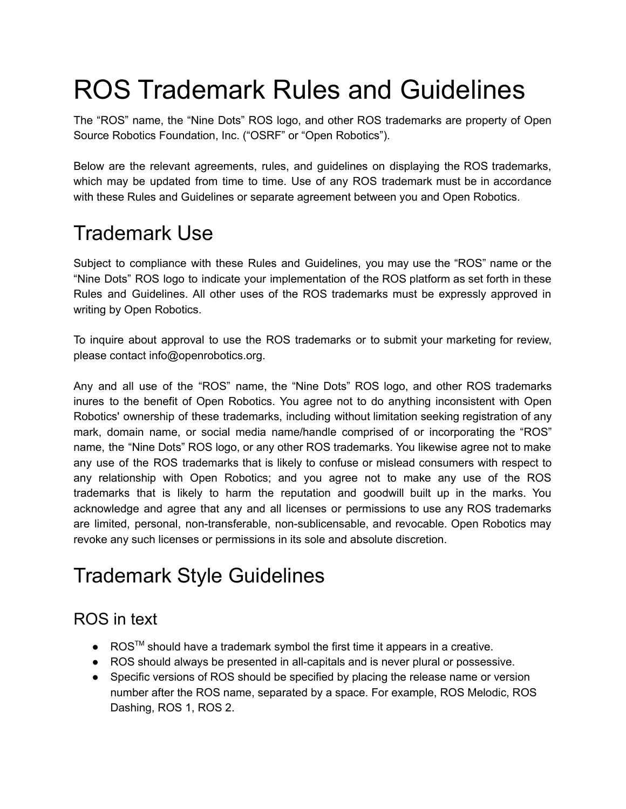# ROS Trademark Rules and Guidelines

The "ROS" name, the "Nine Dots" ROS logo, and other ROS trademarks are property of Open Source Robotics Foundation, Inc. ("OSRF" or "Open Robotics").

Below are the relevant agreements, rules, and guidelines on displaying the ROS trademarks, which may be updated from time to time. Use of any ROS trademark must be in accordance with these Rules and Guidelines or separate agreement between you and Open Robotics.

# Trademark Use

Subject to compliance with these Rules and Guidelines, you may use the "ROS" name or the "Nine Dots" ROS logo to indicate your implementation of the ROS platform as set forth in these Rules and Guidelines. All other uses of the ROS trademarks must be expressly approved in writing by Open Robotics.

To inquire about approval to use the ROS trademarks or to submit your marketing for review, please contact info@openrobotics.org.

Any and all use of the "ROS" name, the "Nine Dots" ROS logo, and other ROS trademarks inures to the benefit of Open Robotics. You agree not to do anything inconsistent with Open Robotics' ownership of these trademarks, including without limitation seeking registration of any mark, domain name, or social media name/handle comprised of or incorporating the "ROS" name, the "Nine Dots" ROS logo, or any other ROS trademarks. You likewise agree not to make any use of the ROS trademarks that is likely to confuse or mislead consumers with respect to any relationship with Open Robotics; and you agree not to make any use of the ROS trademarks that is likely to harm the reputation and goodwill built up in the marks. You acknowledge and agree that any and all licenses or permissions to use any ROS trademarks are limited, personal, non-transferable, non-sublicensable, and revocable. Open Robotics may revoke any such licenses or permissions in its sole and absolute discretion.

# Trademark Style Guidelines

## ROS in text

- ROS<sup>™</sup> should have a trademark symbol the first time it appears in a creative.
- ROS should always be presented in all-capitals and is never plural or possessive.
- Specific versions of ROS should be specified by placing the release name or version number after the ROS name, separated by a space. For example, ROS Melodic, ROS Dashing, ROS 1, ROS 2.